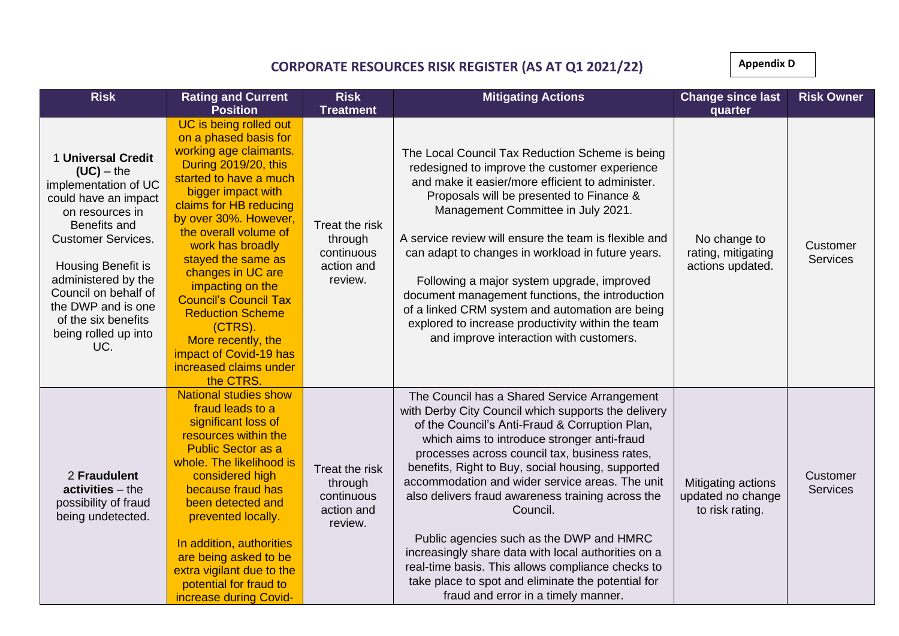## **CORPORATE RESOURCES RISK REGISTER (AS AT Q1 2021/22)**

**Appendix D**

| <b>Risk</b>                                                                                                                                                                                                                                                                                         | <b>Rating and Current</b><br><b>Position</b>                                                                                                                                                                                                                                                                                                                                                                                                                                  | <b>Risk</b><br><b>Treatment</b>                                  | <b>Mitigating Actions</b>                                                                                                                                                                                                                                                                                                                                                                                                                                                                                                                                                                                                                                                           | <b>Change since last</b><br>quarter                        | <b>Risk Owner</b>           |
|-----------------------------------------------------------------------------------------------------------------------------------------------------------------------------------------------------------------------------------------------------------------------------------------------------|-------------------------------------------------------------------------------------------------------------------------------------------------------------------------------------------------------------------------------------------------------------------------------------------------------------------------------------------------------------------------------------------------------------------------------------------------------------------------------|------------------------------------------------------------------|-------------------------------------------------------------------------------------------------------------------------------------------------------------------------------------------------------------------------------------------------------------------------------------------------------------------------------------------------------------------------------------------------------------------------------------------------------------------------------------------------------------------------------------------------------------------------------------------------------------------------------------------------------------------------------------|------------------------------------------------------------|-----------------------------|
| 1 Universal Credit<br>$(UC)$ – the<br>implementation of UC<br>could have an impact<br>on resources in<br>Benefits and<br><b>Customer Services.</b><br>Housing Benefit is<br>administered by the<br>Council on behalf of<br>the DWP and is one<br>of the six benefits<br>being rolled up into<br>UC. | UC is being rolled out<br>on a phased basis for<br>working age claimants.<br>During 2019/20, this<br>started to have a much<br>bigger impact with<br>claims for HB reducing<br>by over 30%. However,<br>the overall volume of<br>work has broadly<br>stayed the same as<br>changes in UC are<br>impacting on the<br><b>Council's Council Tax</b><br><b>Reduction Scheme</b><br>(CTRS).<br>More recently, the<br>impact of Covid-19 has<br>increased claims under<br>the CTRS. | Treat the risk<br>through<br>continuous<br>action and<br>review. | The Local Council Tax Reduction Scheme is being<br>redesigned to improve the customer experience<br>and make it easier/more efficient to administer.<br>Proposals will be presented to Finance &<br>Management Committee in July 2021.<br>A service review will ensure the team is flexible and<br>can adapt to changes in workload in future years.<br>Following a major system upgrade, improved<br>document management functions, the introduction<br>of a linked CRM system and automation are being<br>explored to increase productivity within the team<br>and improve interaction with customers.                                                                            | No change to<br>rating, mitigating<br>actions updated.     | Customer<br><b>Services</b> |
| 2 Fraudulent<br>$activities - the$<br>possibility of fraud<br>being undetected.                                                                                                                                                                                                                     | <b>National studies show</b><br>fraud leads to a<br>significant loss of<br>resources within the<br><b>Public Sector as a</b><br>whole. The likelihood is<br>considered high<br>because fraud has<br>been detected and<br>prevented locally.<br>In addition, authorities<br>are being asked to be<br>extra vigilant due to the<br>potential for fraud to<br>increase during Covid-                                                                                             | Treat the risk<br>through<br>continuous<br>action and<br>review. | The Council has a Shared Service Arrangement<br>with Derby City Council which supports the delivery<br>of the Council's Anti-Fraud & Corruption Plan,<br>which aims to introduce stronger anti-fraud<br>processes across council tax, business rates,<br>benefits, Right to Buy, social housing, supported<br>accommodation and wider service areas. The unit<br>also delivers fraud awareness training across the<br>Council.<br>Public agencies such as the DWP and HMRC<br>increasingly share data with local authorities on a<br>real-time basis. This allows compliance checks to<br>take place to spot and eliminate the potential for<br>fraud and error in a timely manner. | Mitigating actions<br>updated no change<br>to risk rating. | Customer<br><b>Services</b> |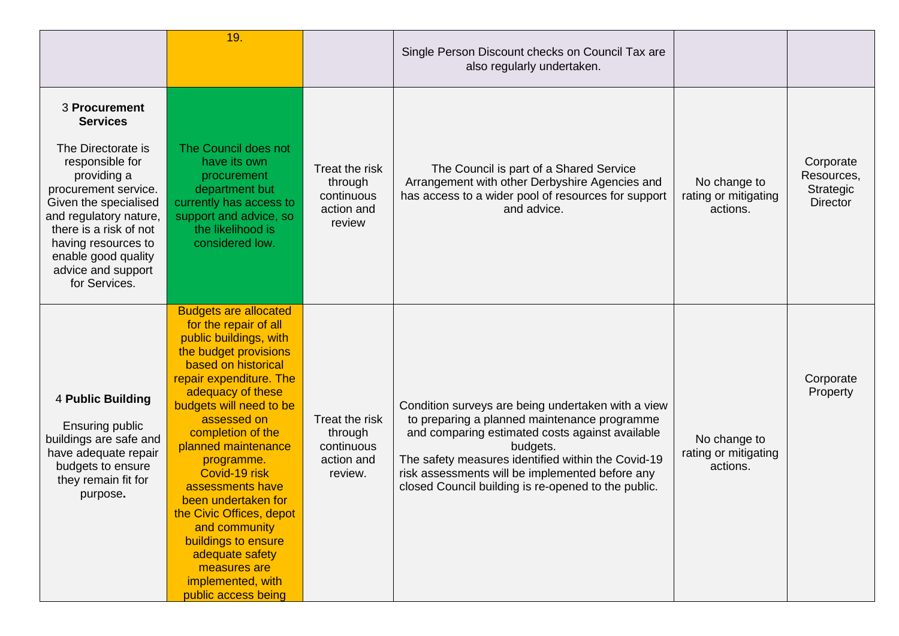|                                                                                                                                                                                                                                                                                    | 19.                                                                                                                                                                                                                                                                                                                                                                                                                                                                                                |                                                                  | Single Person Discount checks on Council Tax are<br>also regularly undertaken.                                                                                                                                                                                                                                                    |                                                  |                                                         |
|------------------------------------------------------------------------------------------------------------------------------------------------------------------------------------------------------------------------------------------------------------------------------------|----------------------------------------------------------------------------------------------------------------------------------------------------------------------------------------------------------------------------------------------------------------------------------------------------------------------------------------------------------------------------------------------------------------------------------------------------------------------------------------------------|------------------------------------------------------------------|-----------------------------------------------------------------------------------------------------------------------------------------------------------------------------------------------------------------------------------------------------------------------------------------------------------------------------------|--------------------------------------------------|---------------------------------------------------------|
| 3 Procurement<br><b>Services</b><br>The Directorate is<br>responsible for<br>providing a<br>procurement service.<br>Given the specialised<br>and regulatory nature,<br>there is a risk of not<br>having resources to<br>enable good quality<br>advice and support<br>for Services. | The Council does not<br>have its own<br>procurement<br>department but<br>currently has access to<br>support and advice, so<br>the likelihood is<br>considered low.                                                                                                                                                                                                                                                                                                                                 | Treat the risk<br>through<br>continuous<br>action and<br>review  | The Council is part of a Shared Service<br>Arrangement with other Derbyshire Agencies and<br>has access to a wider pool of resources for support<br>and advice.                                                                                                                                                                   | No change to<br>rating or mitigating<br>actions. | Corporate<br>Resources,<br>Strategic<br><b>Director</b> |
| 4 Public Building<br>Ensuring public<br>buildings are safe and<br>have adequate repair<br>budgets to ensure<br>they remain fit for<br>purpose.                                                                                                                                     | <b>Budgets are allocated</b><br>for the repair of all<br>public buildings, with<br>the budget provisions<br>based on historical<br>repair expenditure. The<br>adequacy of these<br>budgets will need to be<br>assessed on<br>completion of the<br>planned maintenance<br>programme.<br>Covid-19 risk<br>assessments have<br>been undertaken for<br>the Civic Offices, depot<br>and community<br>buildings to ensure<br>adequate safety<br>measures are<br>implemented, with<br>public access being | Treat the risk<br>through<br>continuous<br>action and<br>review. | Condition surveys are being undertaken with a view<br>to preparing a planned maintenance programme<br>and comparing estimated costs against available<br>budgets.<br>The safety measures identified within the Covid-19<br>risk assessments will be implemented before any<br>closed Council building is re-opened to the public. | No change to<br>rating or mitigating<br>actions. | Corporate<br>Property                                   |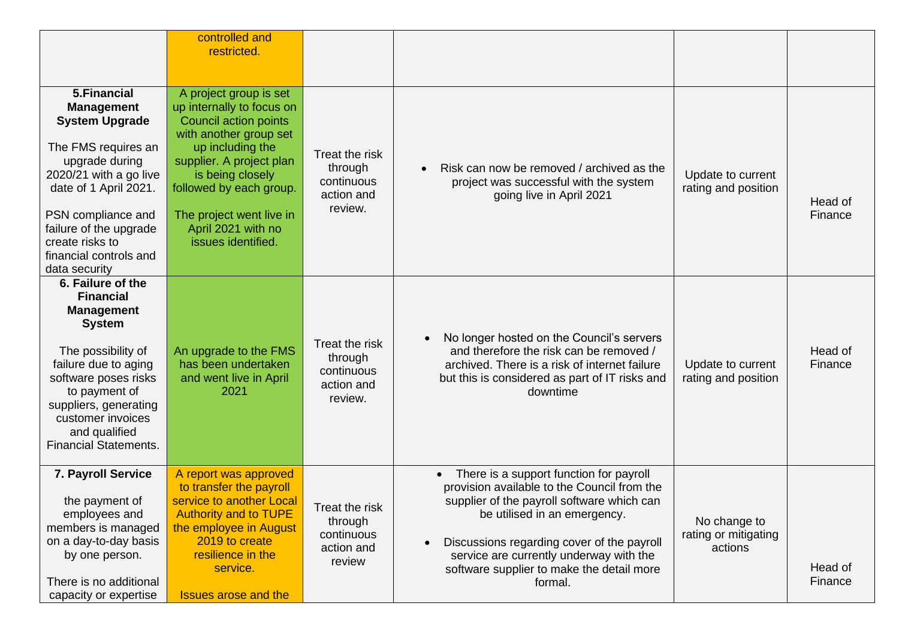|                                                                                                                                                                                                                                                                      | controlled and<br>restricted.                                                                                                                                                                                                                                                 |                                                                  |                                                                                                                                                                                                                                                                                                                                    |                                                 |                    |
|----------------------------------------------------------------------------------------------------------------------------------------------------------------------------------------------------------------------------------------------------------------------|-------------------------------------------------------------------------------------------------------------------------------------------------------------------------------------------------------------------------------------------------------------------------------|------------------------------------------------------------------|------------------------------------------------------------------------------------------------------------------------------------------------------------------------------------------------------------------------------------------------------------------------------------------------------------------------------------|-------------------------------------------------|--------------------|
| 5. Financial<br><b>Management</b><br><b>System Upgrade</b><br>The FMS requires an<br>upgrade during<br>2020/21 with a go live<br>date of 1 April 2021.<br>PSN compliance and<br>failure of the upgrade<br>create risks to<br>financial controls and<br>data security | A project group is set<br>up internally to focus on<br>Council action points<br>with another group set<br>up including the<br>supplier. A project plan<br>is being closely<br>followed by each group.<br>The project went live in<br>April 2021 with no<br>issues identified. | Treat the risk<br>through<br>continuous<br>action and<br>review. | Risk can now be removed / archived as the<br>$\bullet$<br>project was successful with the system<br>going live in April 2021                                                                                                                                                                                                       | Update to current<br>rating and position        | Head of<br>Finance |
| 6. Failure of the<br><b>Financial</b><br><b>Management</b><br><b>System</b><br>The possibility of<br>failure due to aging<br>software poses risks<br>to payment of<br>suppliers, generating<br>customer invoices<br>and qualified<br><b>Financial Statements.</b>    | An upgrade to the FMS<br>has been undertaken<br>and went live in April<br>2021                                                                                                                                                                                                | Treat the risk<br>through<br>continuous<br>action and<br>review. | No longer hosted on the Council's servers<br>$\bullet$<br>and therefore the risk can be removed /<br>archived. There is a risk of internet failure<br>but this is considered as part of IT risks and<br>downtime                                                                                                                   | Update to current<br>rating and position        | Head of<br>Finance |
| 7. Payroll Service<br>the payment of<br>employees and<br>members is managed<br>on a day-to-day basis<br>by one person.<br>There is no additional<br>capacity or expertise                                                                                            | A report was approved<br>to transfer the payroll<br>service to another Local<br><b>Authority and to TUPE</b><br>the employee in August<br>2019 to create<br>resilience in the<br>service.<br><b>Issues arose and the</b>                                                      | Treat the risk<br>through<br>continuous<br>action and<br>review  | There is a support function for payroll<br>provision available to the Council from the<br>supplier of the payroll software which can<br>be utilised in an emergency.<br>Discussions regarding cover of the payroll<br>$\bullet$<br>service are currently underway with the<br>software supplier to make the detail more<br>formal. | No change to<br>rating or mitigating<br>actions | Head of<br>Finance |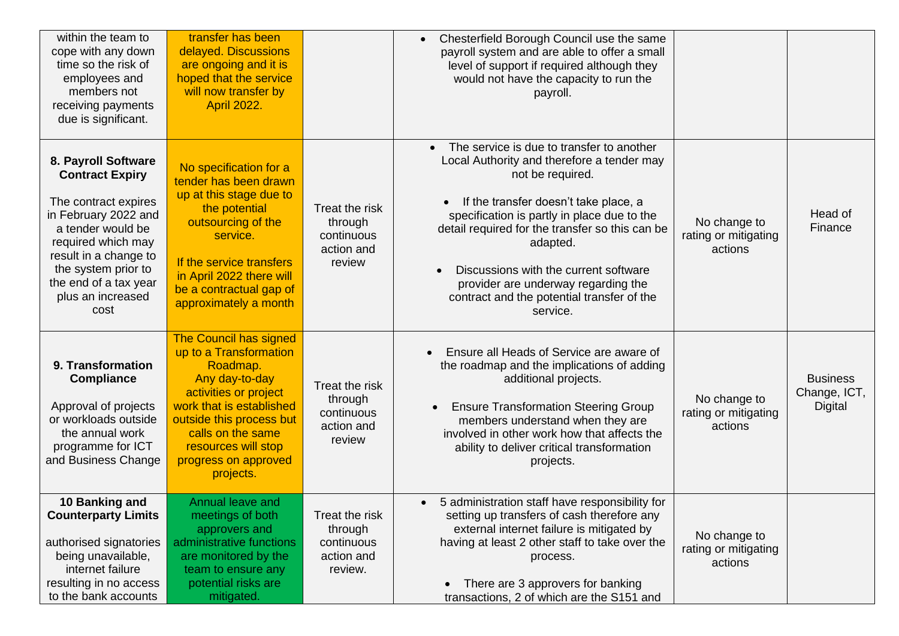| within the team to<br>cope with any down<br>time so the risk of<br>employees and<br>members not<br>receiving payments<br>due is significant.                                                                                                   | transfer has been<br>delayed. Discussions<br>are ongoing and it is<br>hoped that the service<br>will now transfer by<br><b>April 2022.</b>                                                                                                              |                                                                  | Chesterfield Borough Council use the same<br>$\bullet$<br>payroll system and are able to offer a small<br>level of support if required although they<br>would not have the capacity to run the<br>payroll.                                                                                                                                                                                                                |                                                 |                                                   |
|------------------------------------------------------------------------------------------------------------------------------------------------------------------------------------------------------------------------------------------------|---------------------------------------------------------------------------------------------------------------------------------------------------------------------------------------------------------------------------------------------------------|------------------------------------------------------------------|---------------------------------------------------------------------------------------------------------------------------------------------------------------------------------------------------------------------------------------------------------------------------------------------------------------------------------------------------------------------------------------------------------------------------|-------------------------------------------------|---------------------------------------------------|
| 8. Payroll Software<br><b>Contract Expiry</b><br>The contract expires<br>in February 2022 and<br>a tender would be<br>required which may<br>result in a change to<br>the system prior to<br>the end of a tax year<br>plus an increased<br>cost | No specification for a<br>tender has been drawn<br>up at this stage due to<br>the potential<br>outsourcing of the<br>service.<br>If the service transfers<br>in April 2022 there will<br>be a contractual gap of<br>approximately a month               | Treat the risk<br>through<br>continuous<br>action and<br>review  | The service is due to transfer to another<br>$\bullet$<br>Local Authority and therefore a tender may<br>not be required.<br>If the transfer doesn't take place, a<br>specification is partly in place due to the<br>detail required for the transfer so this can be<br>adapted.<br>Discussions with the current software<br>provider are underway regarding the<br>contract and the potential transfer of the<br>service. | No change to<br>rating or mitigating<br>actions | Head of<br>Finance                                |
| 9. Transformation<br><b>Compliance</b><br>Approval of projects<br>or workloads outside<br>the annual work<br>programme for ICT<br>and Business Change                                                                                          | <b>The Council has signed</b><br>up to a Transformation<br>Roadmap.<br>Any day-to-day<br>activities or project<br>work that is established<br>outside this process but<br>calls on the same<br>resources will stop<br>progress on approved<br>projects. | Treat the risk<br>through<br>continuous<br>action and<br>review  | Ensure all Heads of Service are aware of<br>the roadmap and the implications of adding<br>additional projects.<br><b>Ensure Transformation Steering Group</b><br>$\bullet$<br>members understand when they are<br>involved in other work how that affects the<br>ability to deliver critical transformation<br>projects.                                                                                                  | No change to<br>rating or mitigating<br>actions | <b>Business</b><br>Change, ICT,<br><b>Digital</b> |
| 10 Banking and<br><b>Counterparty Limits</b><br>authorised signatories<br>being unavailable,<br>internet failure<br>resulting in no access<br>to the bank accounts                                                                             | Annual leave and<br>meetings of both<br>approvers and<br>administrative functions<br>are monitored by the<br>team to ensure any<br>potential risks are<br>mitigated.                                                                                    | Treat the risk<br>through<br>continuous<br>action and<br>review. | 5 administration staff have responsibility for<br>$\bullet$<br>setting up transfers of cash therefore any<br>external internet failure is mitigated by<br>having at least 2 other staff to take over the<br>process.<br>There are 3 approvers for banking<br>transactions, 2 of which are the S151 and                                                                                                                    | No change to<br>rating or mitigating<br>actions |                                                   |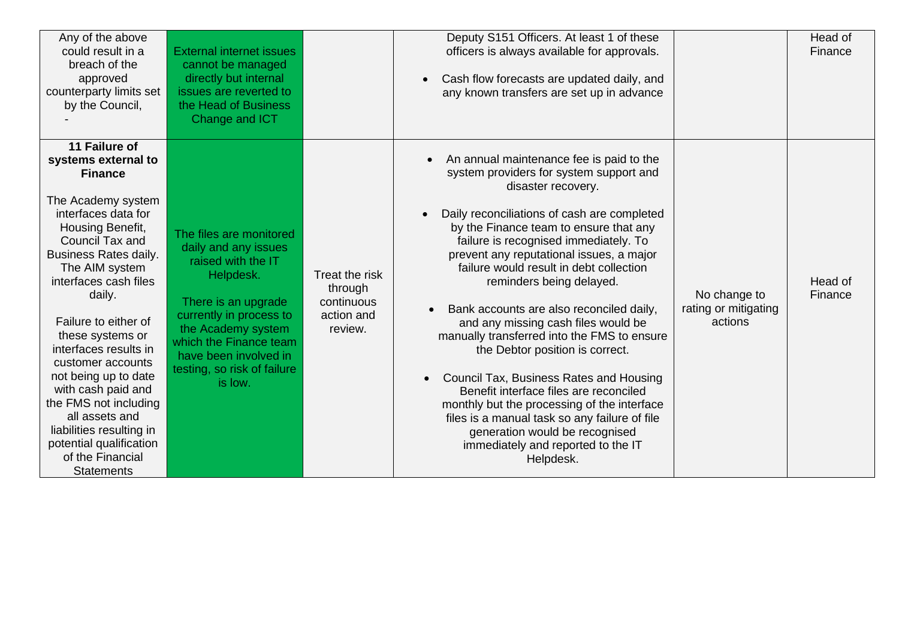| Any of the above<br>could result in a<br>breach of the<br>approved<br>counterparty limits set<br>by the Council,                                                                                                                                                                                                                                                                                                                                                                                                   | <b>External internet issues</b><br>cannot be managed<br>directly but internal<br>issues are reverted to<br>the Head of Business<br>Change and ICT                                                                                                       |                                                                  | Deputy S151 Officers. At least 1 of these<br>officers is always available for approvals.<br>Cash flow forecasts are updated daily, and<br>$\bullet$<br>any known transfers are set up in advance                                                                                                                                                                                                                                                                                                                                                                                                                                                                                                                                                                                                                           |                                                 | Head of<br>Finance |
|--------------------------------------------------------------------------------------------------------------------------------------------------------------------------------------------------------------------------------------------------------------------------------------------------------------------------------------------------------------------------------------------------------------------------------------------------------------------------------------------------------------------|---------------------------------------------------------------------------------------------------------------------------------------------------------------------------------------------------------------------------------------------------------|------------------------------------------------------------------|----------------------------------------------------------------------------------------------------------------------------------------------------------------------------------------------------------------------------------------------------------------------------------------------------------------------------------------------------------------------------------------------------------------------------------------------------------------------------------------------------------------------------------------------------------------------------------------------------------------------------------------------------------------------------------------------------------------------------------------------------------------------------------------------------------------------------|-------------------------------------------------|--------------------|
| 11 Failure of<br>systems external to<br><b>Finance</b><br>The Academy system<br>interfaces data for<br>Housing Benefit,<br>Council Tax and<br><b>Business Rates daily.</b><br>The AIM system<br>interfaces cash files<br>daily.<br>Failure to either of<br>these systems or<br>interfaces results in<br>customer accounts<br>not being up to date<br>with cash paid and<br>the FMS not including<br>all assets and<br>liabilities resulting in<br>potential qualification<br>of the Financial<br><b>Statements</b> | The files are monitored<br>daily and any issues<br>raised with the IT<br>Helpdesk.<br>There is an upgrade<br>currently in process to<br>the Academy system<br>which the Finance team<br>have been involved in<br>testing, so risk of failure<br>is low. | Treat the risk<br>through<br>continuous<br>action and<br>review. | An annual maintenance fee is paid to the<br>system providers for system support and<br>disaster recovery.<br>Daily reconciliations of cash are completed<br>$\bullet$<br>by the Finance team to ensure that any<br>failure is recognised immediately. To<br>prevent any reputational issues, a major<br>failure would result in debt collection<br>reminders being delayed.<br>Bank accounts are also reconciled daily,<br>and any missing cash files would be<br>manually transferred into the FMS to ensure<br>the Debtor position is correct.<br>Council Tax, Business Rates and Housing<br>Benefit interface files are reconciled<br>monthly but the processing of the interface<br>files is a manual task so any failure of file<br>generation would be recognised<br>immediately and reported to the IT<br>Helpdesk. | No change to<br>rating or mitigating<br>actions | Head of<br>Finance |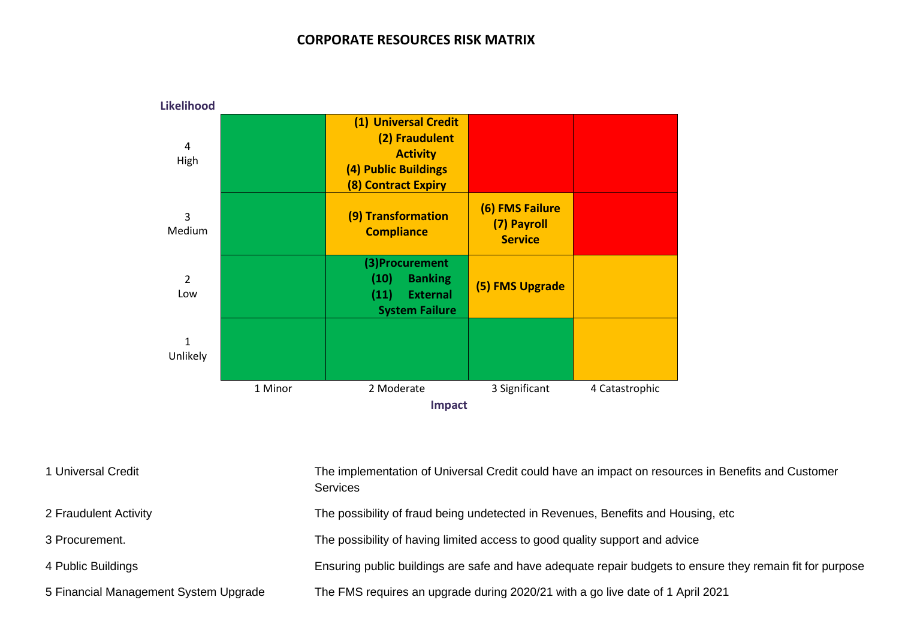## **CORPORATE RESOURCES RISK MATRIX**



| 1 Universal Credit                    | The implementation of Universal Credit could have an impact on resources in Benefits and Customer<br><b>Services</b> |
|---------------------------------------|----------------------------------------------------------------------------------------------------------------------|
| 2 Fraudulent Activity                 | The possibility of fraud being undetected in Revenues, Benefits and Housing, etc.                                    |
| 3 Procurement.                        | The possibility of having limited access to good quality support and advice                                          |
| 4 Public Buildings                    | Ensuring public buildings are safe and have adequate repair budgets to ensure they remain fit for purpose            |
| 5 Financial Management System Upgrade | The FMS requires an upgrade during 2020/21 with a go live date of 1 April 2021                                       |
|                                       |                                                                                                                      |